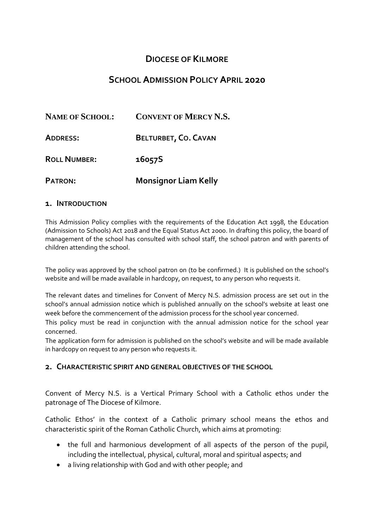# **DIOCESE OF KILMORE**

# **SCHOOL ADMISSION POLICY APRIL 2020**

| <b>NAME OF SCHOOL:</b> | <b>CONVENT OF MERCY N.S.</b> |
|------------------------|------------------------------|
| <b>ADDRESS:</b>        | BELTURBET, CO. CAVAN         |
| <b>ROLL NUMBER:</b>    | 16057S                       |
| <b>PATRON:</b>         | <b>Monsignor Liam Kelly</b>  |

#### **1. INTRODUCTION**

This Admission Policy complies with the requirements of the Education Act 1998, the Education (Admission to Schools) Act 2018 and the Equal Status Act 2000. In drafting this policy, the board of management of the school has consulted with school staff, the school patron and with parents of children attending the school.

The policy was approved by the school patron on (to be confirmed.) It is published on the school's website and will be made available in hardcopy, on request, to any person who requests it.

The relevant dates and timelines for Convent of Mercy N.S. admission process are set out in the school's annual admission notice which is published annually on the school's website at least one week before the commencement of the admission process for the school year concerned.

This policy must be read in conjunction with the annual admission notice for the school year concerned.

The application form for admission is published on the school's website and will be made available in hardcopy on request to any person who requests it.

### **2. CHARACTERISTIC SPIRIT AND GENERAL OBJECTIVES OF THE SCHOOL**

Convent of Mercy N.S. is a Vertical Primary School with a Catholic ethos under the patronage of The Diocese of Kilmore.

Catholic Ethos' in the context of a Catholic primary school means the ethos and characteristic spirit of the Roman Catholic Church, which aims at promoting:

- the full and harmonious development of all aspects of the person of the pupil, including the intellectual, physical, cultural, moral and spiritual aspects; and
- a living relationship with God and with other people; and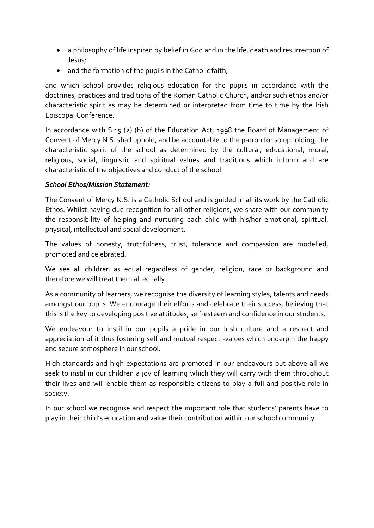- a philosophy of life inspired by belief in God and in the life, death and resurrection of Jesus;
- and the formation of the pupils in the Catholic faith,

and which school provides religious education for the pupils in accordance with the doctrines, practices and traditions of the Roman Catholic Church, and/or such ethos and/or characteristic spirit as may be determined or interpreted from time to time by the Irish Episcopal Conference.

In accordance with S.15 (2) (b) of the Education Act, 1998 the Board of Management of Convent of Mercy N.S. shall uphold, and be accountable to the patron for so upholding, the characteristic spirit of the school as determined by the cultural, educational, moral, religious, social, linguistic and spiritual values and traditions which inform and are characteristic of the objectives and conduct of the school.

## *School Ethos/Mission Statement:*

The Convent of Mercy N.S. is a Catholic School and is guided in all its work by the Catholic Ethos. Whilst having due recognition for all other religions, we share with our community the responsibility of helping and nurturing each child with his/her emotional, spiritual, physical, intellectual and social development.

The values of honesty, truthfulness, trust, tolerance and compassion are modelled, promoted and celebrated.

We see all children as equal regardless of gender, religion, race or background and therefore we will treat them all equally.

As a community of learners, we recognise the diversity of learning styles, talents and needs amongst our pupils. We encourage their efforts and celebrate their success, believing that this is the key to developing positive attitudes, self-esteem and confidence in our students.

We endeavour to instil in our pupils a pride in our Irish culture and a respect and appreciation of it thus fostering self and mutual respect -values which underpin the happy and secure atmosphere in our school.

High standards and high expectations are promoted in our endeavours but above all we seek to instil in our children a joy of learning which they will carry with them throughout their lives and will enable them as responsible citizens to play a full and positive role in society.

In our school we recognise and respect the important role that students' parents have to play in their child's education and value their contribution within our school community.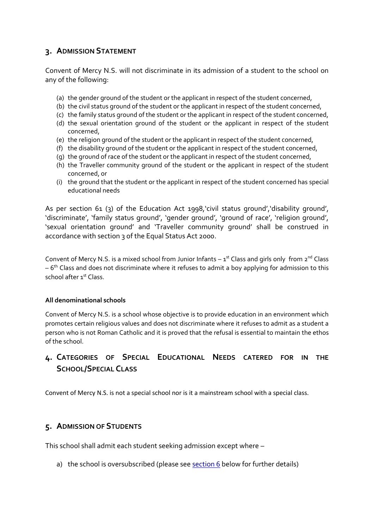## **3. ADMISSION STATEMENT**

Convent of Mercy N.S. will not discriminate in its admission of a student to the school on any of the following:

- (a) the gender ground of the student or the applicant in respect of the student concerned,
- (b) the civil status ground of the student or the applicant in respect of the student concerned,
- (c) the family status ground of the student or the applicant in respect of the student concerned,
- (d) the sexual orientation ground of the student or the applicant in respect of the student concerned,
- (e) the religion ground of the student or the applicant in respect of the student concerned,
- (f) the disability ground of the student or the applicant in respect of the student concerned,
- (g) the ground of race of the student or the applicant in respect of the student concerned,
- (h) the Traveller community ground of the student or the applicant in respect of the student concerned, or
- (i) the ground that the student or the applicant in respect of the student concerned has special educational needs

As per section 61 (3) of the Education Act 1998,'civil status ground','disability ground', 'discriminate', 'family status ground', 'gender ground', 'ground of race', 'religion ground', 'sexual orientation ground' and 'Traveller community ground' shall be construed in accordance with section 3 of the Equal Status Act 2000.

Convent of Mercy N.S. is a mixed school from Junior Infants  $-1^{st}$  Class and girls only from  $2^{nd}$  Class – 6<sup>th</sup> Class and does not discriminate where it refuses to admit a boy applying for admission to this school after 1st Class.

### **All denominational schools**

Convent of Mercy N.S. is a school whose objective is to provide education in an environment which promotes certain religious values and does not discriminate where it refuses to admit as a student a person who is not Roman Catholic and it is proved that the refusal is essential to maintain the ethos of the school.

# **4. CATEGORIES OF SPECIAL EDUCATIONAL NEEDS CATERED FOR IN THE SCHOOL/SPECIAL CLASS**

Convent of Mercy N.S. is not a special school nor is it a mainstream school with a special class.

# **5. ADMISSION OF STUDENTS**

This school shall admit each student seeking admission except where –

a) the school is oversubscribed (please see [section 6](#page-3-0) below for further details)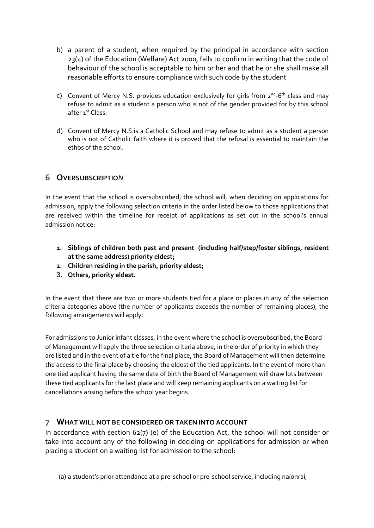- b) a parent of a student, when required by the principal in accordance with section 23(4) of the Education (Welfare) Act 2000, fails to confirm in writing that the code of behaviour of the school is acceptable to him or her and that he or she shall make all reasonable efforts to ensure compliance with such code by the student
- c) Convent of Mercy N.S. provides education exclusively for girls from 2<sup>nd</sup>-6<sup>th</sup> class and may refuse to admit as a student a person who is not of the gender provided for by this school after 1<sup>st</sup> Class.
- d) Convent of Mercy N.S.is a Catholic School and may refuse to admit as a student a person who is not of Catholic faith where it is proved that the refusal is essential to maintain the ethos of the school.

## <span id="page-3-0"></span>**6 OVERSUBSCRIPTIO***N*

In the event that the school is oversubscribed, the school will, when deciding on applications for admission, apply the following selection criteria in the order listed below to those applications that are received within the timeline for receipt of applications as set out in the school's annual admission notice:

- **1. Siblings of children both past and present (including half/step/foster siblings, resident at the same address) priority eldest;**
- **2. Children residing in the parish, priority eldest;**
- 3. **Others, priority eldest.**

In the event that there are two or more students tied for a place or places in any of the selection criteria categories above (the number of applicants exceeds the number of remaining places), the following arrangements will apply:

For admissions to Junior infant classes, in the event where the school is oversubscribed, the Board of Management will apply the three selection criteria above, in the order of priority in which they are listed and in the event of a tie for the final place, the Board of Management will then determine the access to the final place by choosing the eldest of the tied applicants. In the event of more than one tied applicant having the same date of birth the Board of Management will draw lots between these tied applicants for the last place and will keep remaining applicants on a waiting list for cancellations arising before the school year begins.

### **7 WHAT WILL NOT BE CONSIDERED OR TAKEN INTO ACCOUNT**

In accordance with section 62(7) (e) of the Education Act, the school will not consider or take into account any of the following in deciding on applications for admission or when placing a student on a waiting list for admission to the school:

(a) a student's prior attendance at a pre-school or pre-school service, including naíonraí,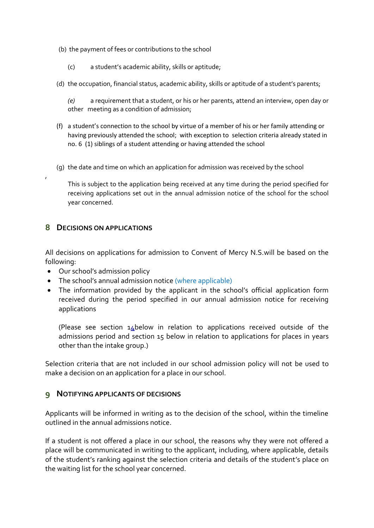- (b) the payment of fees or contributions to the school
	- (c) a student's academic ability, skills or aptitude;
- (d) the occupation, financial status, academic ability, skills or aptitude of a student's parents;

*(e)* a requirement that a student, or his or her parents, attend an interview, open day or other meeting as a condition of admission;

- (f) a student's connection to the school by virtue of a member of his or her family attending or having previously attended the school; with exception to selection criteria already stated in no. 6 (1) siblings of a student attending or having attended the school
- (g) the date and time on which an application for admission was received by the school

This is subject to the application being received at any time during the period specified for receiving applications set out in the annual admission notice of the school for the school year concerned.

### **8 DECISIONS ON APPLICATIONS**

,

All decisions on applications for admission to Convent of Mercy N.S.will be based on the following:

- Our school's admission policy
- The school's annual admission notice (where applicable)
- The information provided by the applicant in the school's official application form received during the period specified in our annual admission notice for receiving applications

(Please see section 14below in relation to applications received outside of the admissions period and section 15 below in relation to applications for places in years other than the intake group.)

Selection criteria that are not included in our school admission policy will not be used to make a decision on an application for a place in our school.

### **9 NOTIFYING APPLICANTS OF DECISIONS**

Applicants will be informed in writing as to the decision of the school, within the timeline outlined in the annual admissions notice.

If a student is not offered a place in our school, the reasons why they were not offered a place will be communicated in writing to the applicant, including, where applicable, details of the student's ranking against the selection criteria and details of the student's place on the waiting list for the school year concerned.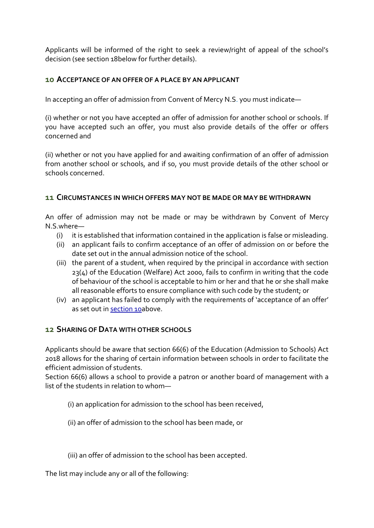Applicants will be informed of the right to seek a review/right of appeal of the school's decision (see section 18below for further details).

## <span id="page-5-0"></span>**10 ACCEPTANCE OF AN OFFER OF A PLACE BY AN APPLICANT**

In accepting an offer of admission from Convent of Mercy N.S. you must indicate—

(i) whether or not you have accepted an offer of admission for another school or schools. If you have accepted such an offer, you must also provide details of the offer or offers concerned and

(ii) whether or not you have applied for and awaiting confirmation of an offer of admission from another school or schools, and if so, you must provide details of the other school or schools concerned.

### **11 CIRCUMSTANCES IN WHICH OFFERS MAY NOT BE MADE OR MAY BE WITHDRAWN**

An offer of admission may not be made or may be withdrawn by Convent of Mercy N.S.where—

- (i) it is established that information contained in the application is false or misleading.
- (ii) an applicant fails to confirm acceptance of an offer of admission on or before the date set out in the annual admission notice of the school.
- (iii) the parent of a student, when required by the principal in accordance with section 23(4) of the Education (Welfare) Act 2000, fails to confirm in writing that the code of behaviour of the school is acceptable to him or her and that he or she shall make all reasonable efforts to ensure compliance with such code by the student; or
- (iv) an applicant has failed to comply with the requirements of 'acceptance of an offer' as set out in [section 10a](#page-5-0)bove.

## **12 SHARING OF DATA WITH OTHER SCHOOLS**

Applicants should be aware that section 66(6) of the Education (Admission to Schools) Act 2018 allows for the sharing of certain information between schools in order to facilitate the efficient admission of students.

Section 66(6) allows a school to provide a patron or another board of management with a list of the students in relation to whom—

- (i) an application for admission to the school has been received,
- (ii) an offer of admission to the school has been made, or
- (iii) an offer of admission to the school has been accepted.

The list may include any or all of the following: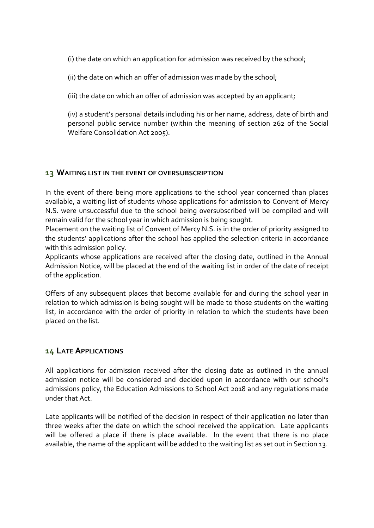(i) the date on which an application for admission was received by the school;

(ii) the date on which an offer of admission was made by the school;

(iii) the date on which an offer of admission was accepted by an applicant;

(iv) a student's personal details including his or her name, address, date of birth and personal public service number (within the meaning of section 262 of the Social Welfare Consolidation Act 2005).

## **13 WAITING LIST IN THE EVENT OF OVERSUBSCRIPTION**

In the event of there being more applications to the school year concerned than places available, a waiting list of students whose applications for admission to Convent of Mercy N.S. were unsuccessful due to the school being oversubscribed will be compiled and will remain valid for the school year in which admission is being sought.

Placement on the waiting list of Convent of Mercy N.S. is in the order of priority assigned to the students' applications after the school has applied the selection criteria in accordance with this admission policy.

Applicants whose applications are received after the closing date, outlined in the Annual Admission Notice, will be placed at the end of the waiting list in order of the date of receipt of the application.

Offers of any subsequent places that become available for and during the school year in relation to which admission is being sought will be made to those students on the waiting list, in accordance with the order of priority in relation to which the students have been placed on the list.

## **14 LATE APPLICATIONS**

All applications for admission received after the closing date as outlined in the annual admission notice will be considered and decided upon in accordance with our school's admissions policy, the Education Admissions to School Act 2018 and any regulations made under that Act.

Late applicants will be notified of the decision in respect of their application no later than three weeks after the date on which the school received the application. Late applicants will be offered a place if there is place available. In the event that there is no place available, the name of the applicant will be added to the waiting list as set out in Section 13.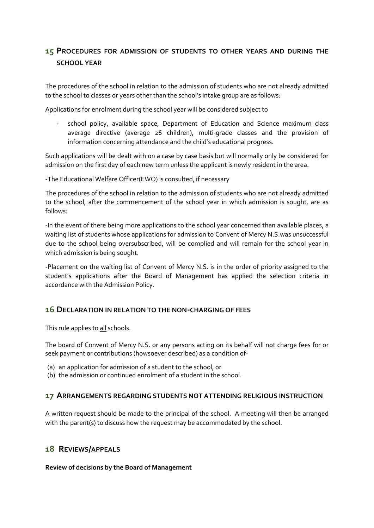# **15 PROCEDURES FOR ADMISSION OF STUDENTS TO OTHER YEARS AND DURING THE SCHOOL YEAR**

The procedures of the school in relation to the admission of students who are not already admitted to the school to classes or years other than the school's intake group are as follows:

Applications for enrolment during the school year will be considered subject to

school policy, available space, Department of Education and Science maximum class average directive (average 26 children), multi-grade classes and the provision of information concerning attendance and the child's educational progress.

Such applications will be dealt with on a case by case basis but will normally only be considered for admission on the first day of each new term unless the applicant is newly resident in the area.

-The Educational Welfare Officer(EWO) is consulted, if necessary

The procedures of the school in relation to the admission of students who are not already admitted to the school, after the commencement of the school year in which admission is sought, are as follows:

-In the event of there being more applications to the school year concerned than available places, a waiting list of students whose applications for admission to Convent of Mercy N.S.was unsuccessful due to the school being oversubscribed, will be complied and will remain for the school year in which admission is being sought.

-Placement on the waiting list of Convent of Mercy N.S. is in the order of priority assigned to the student's applications after the Board of Management has applied the selection criteria in accordance with the Admission Policy.

#### **16 DECLARATION IN RELATION TO THE NON-CHARGING OF FEES**

This rule applies to all schools.

The board of Convent of Mercy N.S. or any persons acting on its behalf will not charge fees for or seek payment or contributions (howsoever described) as a condition of-

- (a) an application for admission of a student to the school, or
- (b) the admission or continued enrolment of a student in the school.

#### **17 ARRANGEMENTS REGARDING STUDENTS NOT ATTENDING RELIGIOUS INSTRUCTION**

A written request should be made to the principal of the school. A meeting will then be arranged with the parent(s) to discuss how the request may be accommodated by the school.

#### **18 REVIEWS/APPEALS**

**Review of decisions by the Board of Management**